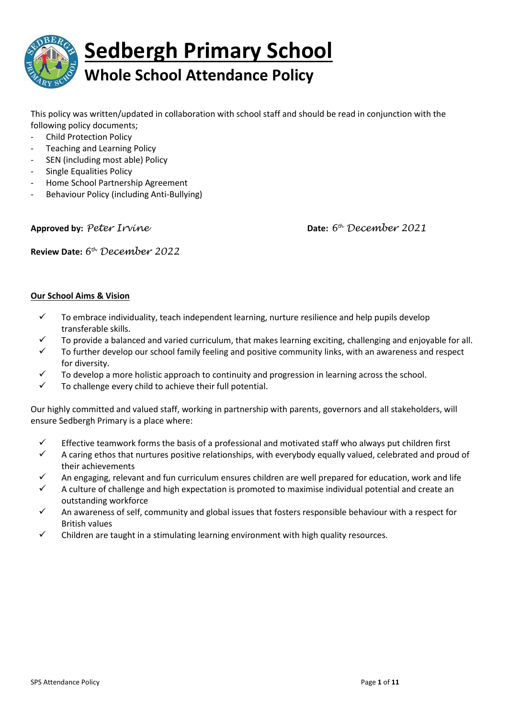

This policy was written/updated in collaboration with school staff and should be read in conjunction with the following policy documents;

- Child Protection Policy
- Teaching and Learning Policy
- SEN (including most able) Policy
- Single Equalities Policy
- Home School Partnership Agreement
- Behaviour Policy (including Anti-Bullying)

Approved by: Peter Irvine

*th December 2021*

**Review Date:** *6 th December 2022*

#### **Our School Aims & Vision**

- $\checkmark$  To embrace individuality, teach independent learning, nurture resilience and help pupils develop transferable skills.
- To provide a balanced and varied curriculum, that makes learning exciting, challenging and enjoyable for all.
- To further develop our school family feeling and positive community links, with an awareness and respect for diversity.
- $\checkmark$  To develop a more holistic approach to continuity and progression in learning across the school.
- $\checkmark$  To challenge every child to achieve their full potential.

Our highly committed and valued staff, working in partnership with parents, governors and all stakeholders, will ensure Sedbergh Primary is a place where:

- $\checkmark$  Effective teamwork forms the basis of a professional and motivated staff who always put children first
- $\checkmark$  A caring ethos that nurtures positive relationships, with everybody equally valued, celebrated and proud of their achievements
- $\checkmark$  An engaging, relevant and fun curriculum ensures children are well prepared for education, work and life
- A culture of challenge and high expectation is promoted to maximise individual potential and create an outstanding workforce
- $\checkmark$  An awareness of self, community and global issues that fosters responsible behaviour with a respect for British values
- $\checkmark$  Children are taught in a stimulating learning environment with high quality resources.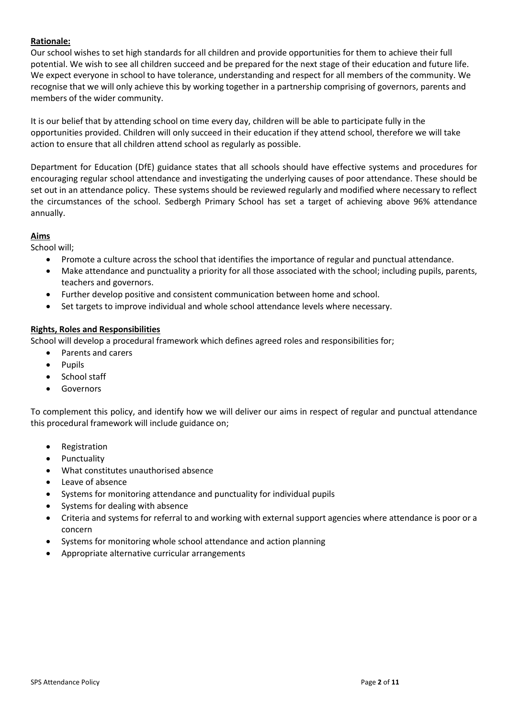# **Rationale:**

Our school wishes to set high standards for all children and provide opportunities for them to achieve their full potential. We wish to see all children succeed and be prepared for the next stage of their education and future life. We expect everyone in school to have tolerance, understanding and respect for all members of the community. We recognise that we will only achieve this by working together in a partnership comprising of governors, parents and members of the wider community.

It is our belief that by attending school on time every day, children will be able to participate fully in the opportunities provided. Children will only succeed in their education if they attend school, therefore we will take action to ensure that all children attend school as regularly as possible.

Department for Education (DfE) guidance states that all schools should have effective systems and procedures for encouraging regular school attendance and investigating the underlying causes of poor attendance. These should be set out in an attendance policy. These systems should be reviewed regularly and modified where necessary to reflect the circumstances of the school. Sedbergh Primary School has set a target of achieving above 96% attendance annually.

# **Aims**

School will;

- Promote a culture across the school that identifies the importance of regular and punctual attendance.
- Make attendance and punctuality a priority for all those associated with the school; including pupils, parents, teachers and governors.
- Further develop positive and consistent communication between home and school.
- Set targets to improve individual and whole school attendance levels where necessary.

#### **Rights, Roles and Responsibilities**

School will develop a procedural framework which defines agreed roles and responsibilities for;

- Parents and carers
- Pupils
- School staff
- **•** Governors

To complement this policy, and identify how we will deliver our aims in respect of regular and punctual attendance this procedural framework will include guidance on;

- Registration
- Punctuality
- What constitutes unauthorised absence
- Leave of absence
- Systems for monitoring attendance and punctuality for individual pupils
- Systems for dealing with absence
- Criteria and systems for referral to and working with external support agencies where attendance is poor or a concern
- Systems for monitoring whole school attendance and action planning
- Appropriate alternative curricular arrangements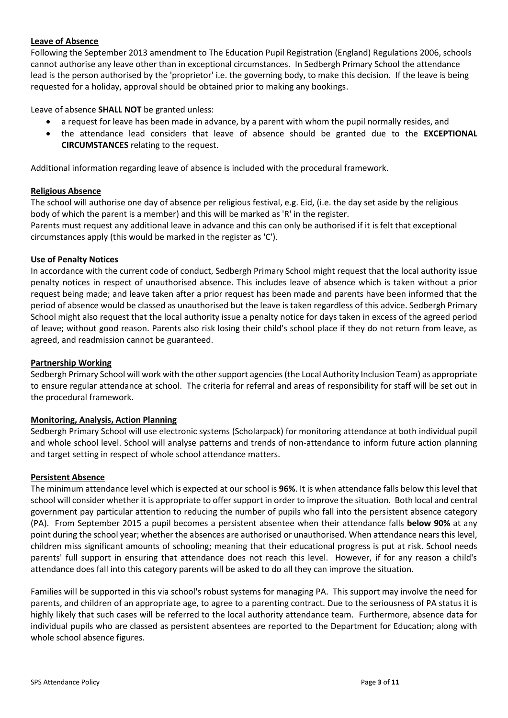# **Leave of Absence**

Following the September 2013 amendment to The Education Pupil Registration (England) Regulations 2006, schools cannot authorise any leave other than in exceptional circumstances. In Sedbergh Primary School the attendance lead is the person authorised by the 'proprietor' i.e. the governing body, to make this decision. If the leave is being requested for a holiday, approval should be obtained prior to making any bookings.

Leave of absence **SHALL NOT** be granted unless:

- a request for leave has been made in advance, by a parent with whom the pupil normally resides, and
- the attendance lead considers that leave of absence should be granted due to the **EXCEPTIONAL CIRCUMSTANCES** relating to the request.

Additional information regarding leave of absence is included with the procedural framework.

#### **Religious Absence**

The school will authorise one day of absence per religious festival, e.g. Eid, (i.e. the day set aside by the religious body of which the parent is a member) and this will be marked as 'R' in the register.

Parents must request any additional leave in advance and this can only be authorised if it is felt that exceptional circumstances apply (this would be marked in the register as 'C').

#### **Use of Penalty Notices**

In accordance with the current code of conduct, Sedbergh Primary School might request that the local authority issue penalty notices in respect of unauthorised absence. This includes leave of absence which is taken without a prior request being made; and leave taken after a prior request has been made and parents have been informed that the period of absence would be classed as unauthorised but the leave is taken regardless of this advice. Sedbergh Primary School might also request that the local authority issue a penalty notice for days taken in excess of the agreed period of leave; without good reason. Parents also risk losing their child's school place if they do not return from leave, as agreed, and readmission cannot be guaranteed.

#### **Partnership Working**

Sedbergh Primary School will work with the other support agencies (the Local Authority Inclusion Team) as appropriate to ensure regular attendance at school. The criteria for referral and areas of responsibility for staff will be set out in the procedural framework.

#### **Monitoring, Analysis, Action Planning**

Sedbergh Primary School will use electronic systems (Scholarpack) for monitoring attendance at both individual pupil and whole school level. School will analyse patterns and trends of non-attendance to inform future action planning and target setting in respect of whole school attendance matters.

#### **Persistent Absence**

The minimum attendance level which is expected at our school is **96%**. It is when attendance falls below this level that school will consider whether it is appropriate to offer support in order to improve the situation. Both local and central government pay particular attention to reducing the number of pupils who fall into the persistent absence category (PA). From September 2015 a pupil becomes a persistent absentee when their attendance falls **below 90%** at any point during the school year; whether the absences are authorised or unauthorised. When attendance nears this level, children miss significant amounts of schooling; meaning that their educational progress is put at risk. School needs parents' full support in ensuring that attendance does not reach this level. However, if for any reason a child's attendance does fall into this category parents will be asked to do all they can improve the situation.

Families will be supported in this via school's robust systems for managing PA. This support may involve the need for parents, and children of an appropriate age, to agree to a parenting contract. Due to the seriousness of PA status it is highly likely that such cases will be referred to the local authority attendance team. Furthermore, absence data for individual pupils who are classed as persistent absentees are reported to the Department for Education; along with whole school absence figures.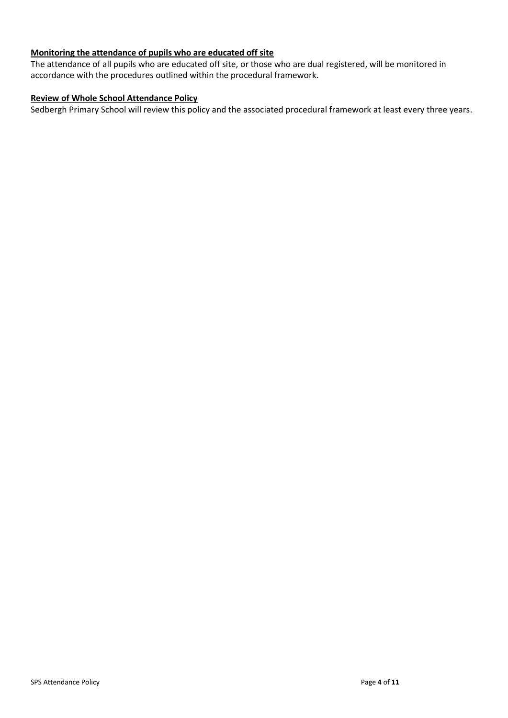# **Monitoring the attendance of pupils who are educated off site**

The attendance of all pupils who are educated off site, or those who are dual registered, will be monitored in accordance with the procedures outlined within the procedural framework.

# **Review of Whole School Attendance Policy**

Sedbergh Primary School will review this policy and the associated procedural framework at least every three years.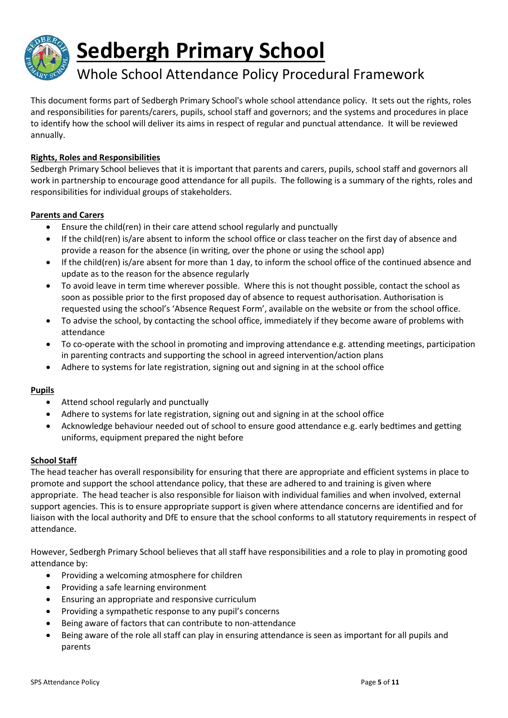

# Whole School Attendance Policy Procedural Framework

This document forms part of Sedbergh Primary School's whole school attendance policy. It sets out the rights, roles and responsibilities for parents/carers, pupils, school staff and governors; and the systems and procedures in place to identify how the school will deliver its aims in respect of regular and punctual attendance. It will be reviewed annually.

# **Rights, Roles and Responsibilities**

Sedbergh Primary School believes that it is important that parents and carers, pupils, school staff and governors all work in partnership to encourage good attendance for all pupils. The following is a summary of the rights, roles and responsibilities for individual groups of stakeholders.

# **Parents and Carers**

- Ensure the child(ren) in their care attend school regularly and punctually
- If the child(ren) is/are absent to inform the school office or class teacher on the first day of absence and provide a reason for the absence (in writing, over the phone or using the school app)
- If the child(ren) is/are absent for more than 1 day, to inform the school office of the continued absence and update as to the reason for the absence regularly
- To avoid leave in term time wherever possible. Where this is not thought possible, contact the school as soon as possible prior to the first proposed day of absence to request authorisation. Authorisation is requested using the school's 'Absence Request Form', available on the website or from the school office.
- To advise the school, by contacting the school office, immediately if they become aware of problems with attendance
- To co-operate with the school in promoting and improving attendance e.g. attending meetings, participation in parenting contracts and supporting the school in agreed intervention/action plans
- Adhere to systems for late registration, signing out and signing in at the school office

# **Pupils**

- Attend school regularly and punctually
- Adhere to systems for late registration, signing out and signing in at the school office
- Acknowledge behaviour needed out of school to ensure good attendance e.g. early bedtimes and getting uniforms, equipment prepared the night before

#### **School Staff**

The head teacher has overall responsibility for ensuring that there are appropriate and efficient systems in place to promote and support the school attendance policy, that these are adhered to and training is given where appropriate. The head teacher is also responsible for liaison with individual families and when involved, external support agencies. This is to ensure appropriate support is given where attendance concerns are identified and for liaison with the local authority and DfE to ensure that the school conforms to all statutory requirements in respect of attendance.

However, Sedbergh Primary School believes that all staff have responsibilities and a role to play in promoting good attendance by:

- Providing a welcoming atmosphere for children
- Providing a safe learning environment
- Ensuring an appropriate and responsive curriculum
- Providing a sympathetic response to any pupil's concerns
- Being aware of factors that can contribute to non-attendance
- Being aware of the role all staff can play in ensuring attendance is seen as important for all pupils and parents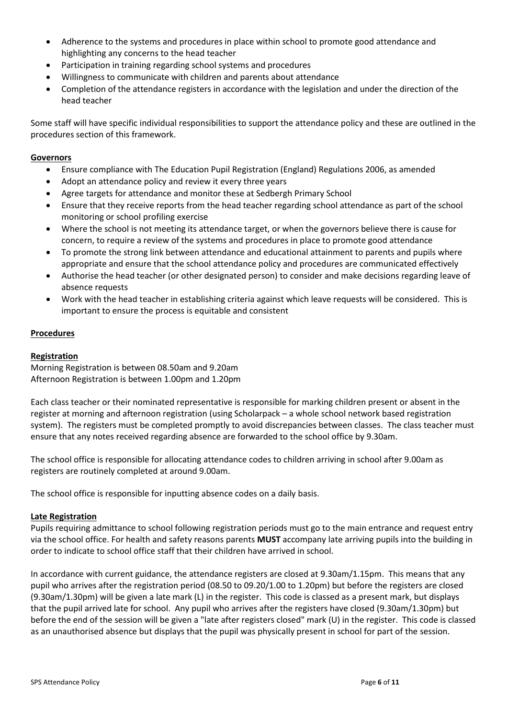- Adherence to the systems and procedures in place within school to promote good attendance and highlighting any concerns to the head teacher
- Participation in training regarding school systems and procedures
- Willingness to communicate with children and parents about attendance
- Completion of the attendance registers in accordance with the legislation and under the direction of the head teacher

Some staff will have specific individual responsibilities to support the attendance policy and these are outlined in the procedures section of this framework.

#### **Governors**

- Ensure compliance with The Education Pupil Registration (England) Regulations 2006, as amended
- Adopt an attendance policy and review it every three years
- Agree targets for attendance and monitor these at Sedbergh Primary School
- Ensure that they receive reports from the head teacher regarding school attendance as part of the school monitoring or school profiling exercise
- Where the school is not meeting its attendance target, or when the governors believe there is cause for concern, to require a review of the systems and procedures in place to promote good attendance
- To promote the strong link between attendance and educational attainment to parents and pupils where appropriate and ensure that the school attendance policy and procedures are communicated effectively
- Authorise the head teacher (or other designated person) to consider and make decisions regarding leave of absence requests
- Work with the head teacher in establishing criteria against which leave requests will be considered. This is important to ensure the process is equitable and consistent

#### **Procedures**

#### **Registration**

Morning Registration is between 08.50am and 9.20am Afternoon Registration is between 1.00pm and 1.20pm

Each class teacher or their nominated representative is responsible for marking children present or absent in the register at morning and afternoon registration (using Scholarpack – a whole school network based registration system). The registers must be completed promptly to avoid discrepancies between classes. The class teacher must ensure that any notes received regarding absence are forwarded to the school office by 9.30am.

The school office is responsible for allocating attendance codes to children arriving in school after 9.00am as registers are routinely completed at around 9.00am.

The school office is responsible for inputting absence codes on a daily basis.

#### **Late Registration**

Pupils requiring admittance to school following registration periods must go to the main entrance and request entry via the school office. For health and safety reasons parents **MUST** accompany late arriving pupils into the building in order to indicate to school office staff that their children have arrived in school.

In accordance with current guidance, the attendance registers are closed at 9.30am/1.15pm. This means that any pupil who arrives after the registration period (08.50 to 09.20/1.00 to 1.20pm) but before the registers are closed (9.30am/1.30pm) will be given a late mark (L) in the register. This code is classed as a present mark, but displays that the pupil arrived late for school. Any pupil who arrives after the registers have closed (9.30am/1.30pm) but before the end of the session will be given a "late after registers closed" mark (U) in the register. This code is classed as an unauthorised absence but displays that the pupil was physically present in school for part of the session.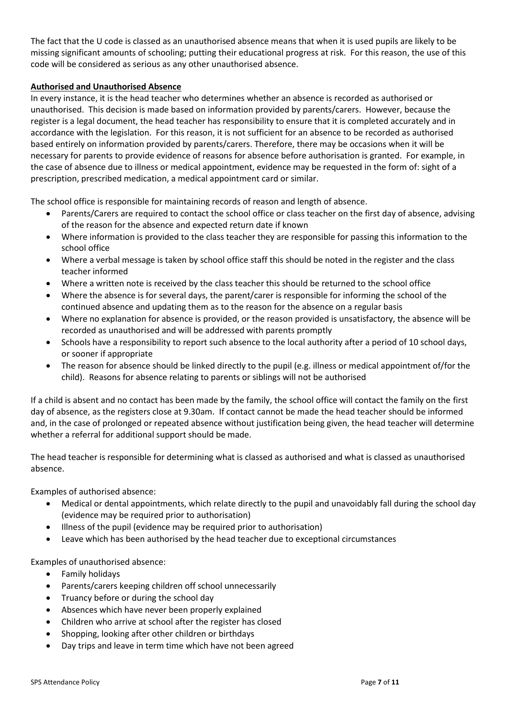The fact that the U code is classed as an unauthorised absence means that when it is used pupils are likely to be missing significant amounts of schooling; putting their educational progress at risk. For this reason, the use of this code will be considered as serious as any other unauthorised absence.

# **Authorised and Unauthorised Absence**

In every instance, it is the head teacher who determines whether an absence is recorded as authorised or unauthorised. This decision is made based on information provided by parents/carers. However, because the register is a legal document, the head teacher has responsibility to ensure that it is completed accurately and in accordance with the legislation. For this reason, it is not sufficient for an absence to be recorded as authorised based entirely on information provided by parents/carers. Therefore, there may be occasions when it will be necessary for parents to provide evidence of reasons for absence before authorisation is granted. For example, in the case of absence due to illness or medical appointment, evidence may be requested in the form of: sight of a prescription, prescribed medication, a medical appointment card or similar.

The school office is responsible for maintaining records of reason and length of absence.

- Parents/Carers are required to contact the school office or class teacher on the first day of absence, advising of the reason for the absence and expected return date if known
- Where information is provided to the class teacher they are responsible for passing this information to the school office
- Where a verbal message is taken by school office staff this should be noted in the register and the class teacher informed
- Where a written note is received by the class teacher this should be returned to the school office
- Where the absence is for several days, the parent/carer is responsible for informing the school of the continued absence and updating them as to the reason for the absence on a regular basis
- Where no explanation for absence is provided, or the reason provided is unsatisfactory, the absence will be recorded as unauthorised and will be addressed with parents promptly
- Schools have a responsibility to report such absence to the local authority after a period of 10 school days, or sooner if appropriate
- The reason for absence should be linked directly to the pupil (e.g. illness or medical appointment of/for the child). Reasons for absence relating to parents or siblings will not be authorised

If a child is absent and no contact has been made by the family, the school office will contact the family on the first day of absence, as the registers close at 9.30am. If contact cannot be made the head teacher should be informed and, in the case of prolonged or repeated absence without justification being given, the head teacher will determine whether a referral for additional support should be made.

The head teacher is responsible for determining what is classed as authorised and what is classed as unauthorised absence.

Examples of authorised absence:

- Medical or dental appointments, which relate directly to the pupil and unavoidably fall during the school day (evidence may be required prior to authorisation)
- Illness of the pupil (evidence may be required prior to authorisation)
- Leave which has been authorised by the head teacher due to exceptional circumstances

Examples of unauthorised absence:

- Family holidays
- Parents/carers keeping children off school unnecessarily
- Truancy before or during the school day
- Absences which have never been properly explained
- Children who arrive at school after the register has closed
- Shopping, looking after other children or birthdays
- Day trips and leave in term time which have not been agreed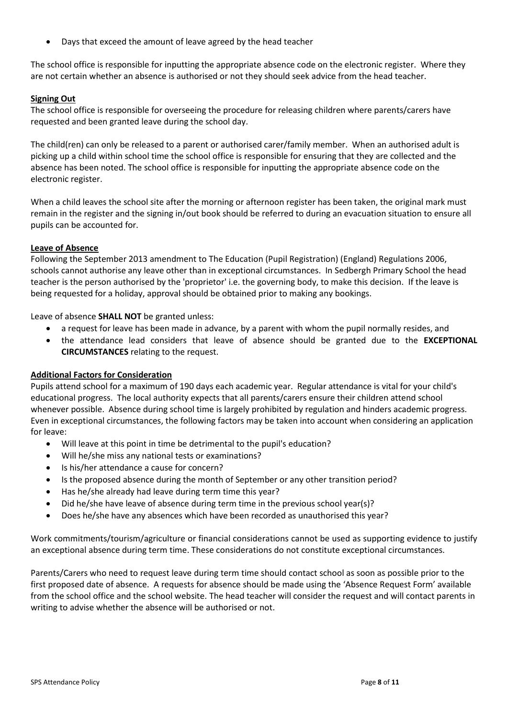Days that exceed the amount of leave agreed by the head teacher

The school office is responsible for inputting the appropriate absence code on the electronic register. Where they are not certain whether an absence is authorised or not they should seek advice from the head teacher.

## **Signing Out**

The school office is responsible for overseeing the procedure for releasing children where parents/carers have requested and been granted leave during the school day.

The child(ren) can only be released to a parent or authorised carer/family member. When an authorised adult is picking up a child within school time the school office is responsible for ensuring that they are collected and the absence has been noted. The school office is responsible for inputting the appropriate absence code on the electronic register.

When a child leaves the school site after the morning or afternoon register has been taken, the original mark must remain in the register and the signing in/out book should be referred to during an evacuation situation to ensure all pupils can be accounted for.

#### **Leave of Absence**

Following the September 2013 amendment to The Education (Pupil Registration) (England) Regulations 2006, schools cannot authorise any leave other than in exceptional circumstances. In Sedbergh Primary School the head teacher is the person authorised by the 'proprietor' i.e. the governing body, to make this decision. If the leave is being requested for a holiday, approval should be obtained prior to making any bookings.

Leave of absence **SHALL NOT** be granted unless:

- a request for leave has been made in advance, by a parent with whom the pupil normally resides, and
- the attendance lead considers that leave of absence should be granted due to the **EXCEPTIONAL CIRCUMSTANCES** relating to the request.

#### **Additional Factors for Consideration**

Pupils attend school for a maximum of 190 days each academic year. Regular attendance is vital for your child's educational progress. The local authority expects that all parents/carers ensure their children attend school whenever possible. Absence during school time is largely prohibited by regulation and hinders academic progress. Even in exceptional circumstances, the following factors may be taken into account when considering an application for leave:

- Will leave at this point in time be detrimental to the pupil's education?
- Will he/she miss any national tests or examinations?
- Is his/her attendance a cause for concern?
- Is the proposed absence during the month of September or any other transition period?
- Has he/she already had leave during term time this year?
- Did he/she have leave of absence during term time in the previous school year(s)?
- Does he/she have any absences which have been recorded as unauthorised this year?

Work commitments/tourism/agriculture or financial considerations cannot be used as supporting evidence to justify an exceptional absence during term time. These considerations do not constitute exceptional circumstances.

Parents/Carers who need to request leave during term time should contact school as soon as possible prior to the first proposed date of absence. A requests for absence should be made using the 'Absence Request Form' available from the school office and the school website. The head teacher will consider the request and will contact parents in writing to advise whether the absence will be authorised or not.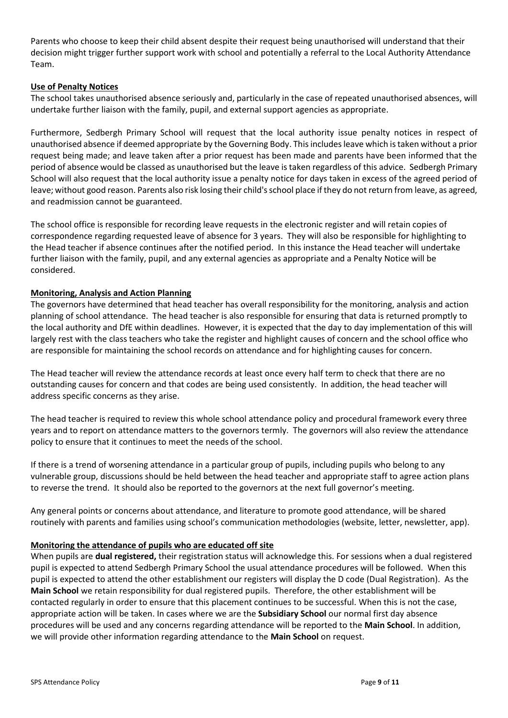Parents who choose to keep their child absent despite their request being unauthorised will understand that their decision might trigger further support work with school and potentially a referral to the Local Authority Attendance Team.

# **Use of Penalty Notices**

The school takes unauthorised absence seriously and, particularly in the case of repeated unauthorised absences, will undertake further liaison with the family, pupil, and external support agencies as appropriate.

Furthermore, Sedbergh Primary School will request that the local authority issue penalty notices in respect of unauthorised absence if deemed appropriate by the Governing Body. This includes leave which is taken without a prior request being made; and leave taken after a prior request has been made and parents have been informed that the period of absence would be classed as unauthorised but the leave is taken regardless of this advice. Sedbergh Primary School will also request that the local authority issue a penalty notice for days taken in excess of the agreed period of leave; without good reason. Parents also risk losing their child's school place if they do not return from leave, as agreed, and readmission cannot be guaranteed.

The school office is responsible for recording leave requests in the electronic register and will retain copies of correspondence regarding requested leave of absence for 3 years. They will also be responsible for highlighting to the Head teacher if absence continues after the notified period. In this instance the Head teacher will undertake further liaison with the family, pupil, and any external agencies as appropriate and a Penalty Notice will be considered.

# **Monitoring, Analysis and Action Planning**

The governors have determined that head teacher has overall responsibility for the monitoring, analysis and action planning of school attendance. The head teacher is also responsible for ensuring that data is returned promptly to the local authority and DfE within deadlines. However, it is expected that the day to day implementation of this will largely rest with the class teachers who take the register and highlight causes of concern and the school office who are responsible for maintaining the school records on attendance and for highlighting causes for concern.

The Head teacher will review the attendance records at least once every half term to check that there are no outstanding causes for concern and that codes are being used consistently. In addition, the head teacher will address specific concerns as they arise.

The head teacher is required to review this whole school attendance policy and procedural framework every three years and to report on attendance matters to the governors termly. The governors will also review the attendance policy to ensure that it continues to meet the needs of the school.

If there is a trend of worsening attendance in a particular group of pupils, including pupils who belong to any vulnerable group, discussions should be held between the head teacher and appropriate staff to agree action plans to reverse the trend. It should also be reported to the governors at the next full governor's meeting.

Any general points or concerns about attendance, and literature to promote good attendance, will be shared routinely with parents and families using school's communication methodologies (website, letter, newsletter, app).

#### **Monitoring the attendance of pupils who are educated off site**

When pupils are **dual registered,** their registration status will acknowledge this. For sessions when a dual registered pupil is expected to attend Sedbergh Primary School the usual attendance procedures will be followed. When this pupil is expected to attend the other establishment our registers will display the D code (Dual Registration). As the **Main School** we retain responsibility for dual registered pupils. Therefore, the other establishment will be contacted regularly in order to ensure that this placement continues to be successful. When this is not the case, appropriate action will be taken. In cases where we are the **Subsidiary School** our normal first day absence procedures will be used and any concerns regarding attendance will be reported to the **Main School**. In addition, we will provide other information regarding attendance to the **Main School** on request.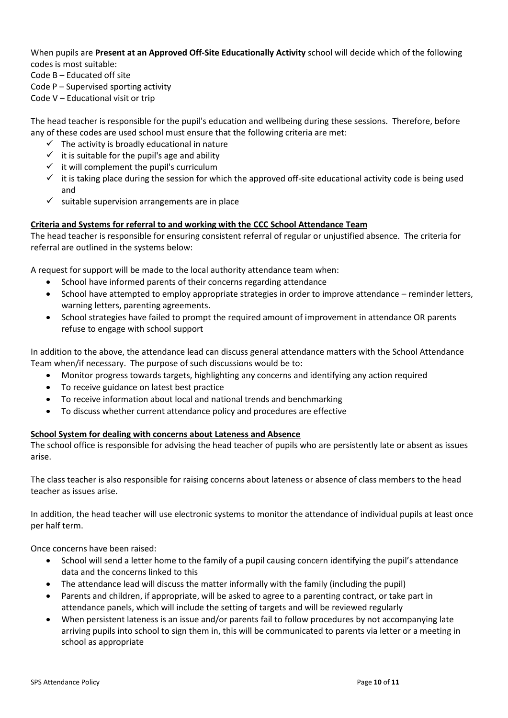When pupils are **Present at an Approved Off-Site Educationally Activity** school will decide which of the following codes is most suitable:

Code B – Educated off site

Code P – Supervised sporting activity

Code V – Educational visit or trip

The head teacher is responsible for the pupil's education and wellbeing during these sessions. Therefore, before any of these codes are used school must ensure that the following criteria are met:

- $\checkmark$  The activity is broadly educational in nature
- $\checkmark$  it is suitable for the pupil's age and ability
- $\checkmark$  it will complement the pupil's curriculum
- $\checkmark$  it is taking place during the session for which the approved off-site educational activity code is being used and
- $\checkmark$  suitable supervision arrangements are in place

# **Criteria and Systems for referral to and working with the CCC School Attendance Team**

The head teacher is responsible for ensuring consistent referral of regular or unjustified absence. The criteria for referral are outlined in the systems below:

A request for support will be made to the local authority attendance team when:

- School have informed parents of their concerns regarding attendance
- School have attempted to employ appropriate strategies in order to improve attendance reminder letters, warning letters, parenting agreements.
- School strategies have failed to prompt the required amount of improvement in attendance OR parents refuse to engage with school support

In addition to the above, the attendance lead can discuss general attendance matters with the School Attendance Team when/if necessary. The purpose of such discussions would be to:

- Monitor progress towards targets, highlighting any concerns and identifying any action required
- To receive guidance on latest best practice
- To receive information about local and national trends and benchmarking
- To discuss whether current attendance policy and procedures are effective

# **School System for dealing with concerns about Lateness and Absence**

The school office is responsible for advising the head teacher of pupils who are persistently late or absent as issues arise.

The class teacher is also responsible for raising concerns about lateness or absence of class members to the head teacher as issues arise.

In addition, the head teacher will use electronic systems to monitor the attendance of individual pupils at least once per half term.

Once concerns have been raised:

- School will send a letter home to the family of a pupil causing concern identifying the pupil's attendance data and the concerns linked to this
- The attendance lead will discuss the matter informally with the family (including the pupil)
- Parents and children, if appropriate, will be asked to agree to a parenting contract, or take part in attendance panels, which will include the setting of targets and will be reviewed regularly
- When persistent lateness is an issue and/or parents fail to follow procedures by not accompanying late arriving pupils into school to sign them in, this will be communicated to parents via letter or a meeting in school as appropriate